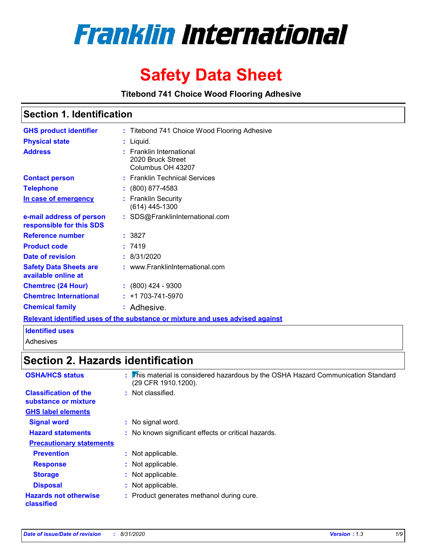

# **Safety Data Sheet**

**Titebond 741 Choice Wood Flooring Adhesive**

### **Section 1. Identification**

| <b>GHS product identifier</b>                        | : Titebond 741 Choice Wood Flooring Adhesive                                  |
|------------------------------------------------------|-------------------------------------------------------------------------------|
| <b>Physical state</b>                                | $:$ Liquid.                                                                   |
| <b>Address</b>                                       | : Franklin International<br>2020 Bruck Street<br>Columbus OH 43207            |
| <b>Contact person</b>                                | : Franklin Technical Services                                                 |
| <b>Telephone</b>                                     | $: (800) 877 - 4583$                                                          |
| In case of emergency                                 | : Franklin Security<br>$(614)$ 445-1300                                       |
| e-mail address of person<br>responsible for this SDS | : SDS@FranklinInternational.com                                               |
| Reference number                                     | : 3827                                                                        |
| <b>Product code</b>                                  | :7419                                                                         |
| Date of revision                                     | : 8/31/2020                                                                   |
| <b>Safety Data Sheets are</b><br>available online at | : www.FranklinInternational.com                                               |
| <b>Chemtrec (24 Hour)</b>                            | $: (800)$ 424 - 9300                                                          |
| <b>Chemtrec International</b>                        | $: +1703 - 741 - 5970$                                                        |
| <b>Chemical family</b>                               | : Adhesive.                                                                   |
|                                                      | Relevant identified uses of the substance or mixture and uses advised against |

### **Identified uses**

Adhesives

## **Section 2. Hazards identification**

| <b>OSHA/HCS status</b>                               | : This material is considered hazardous by the OSHA Hazard Communication Standard<br>(29 CFR 1910.1200). |
|------------------------------------------------------|----------------------------------------------------------------------------------------------------------|
| <b>Classification of the</b><br>substance or mixture | : Not classified.                                                                                        |
| <b>GHS label elements</b>                            |                                                                                                          |
| <b>Signal word</b>                                   | : No signal word.                                                                                        |
| <b>Hazard statements</b>                             | : No known significant effects or critical hazards.                                                      |
| <b>Precautionary statements</b>                      |                                                                                                          |
| <b>Prevention</b>                                    | : Not applicable.                                                                                        |
| <b>Response</b>                                      | : Not applicable.                                                                                        |
| <b>Storage</b>                                       | : Not applicable.                                                                                        |
| <b>Disposal</b>                                      | : Not applicable.                                                                                        |
| <b>Hazards not otherwise</b><br>classified           | : Product generates methanol during cure.                                                                |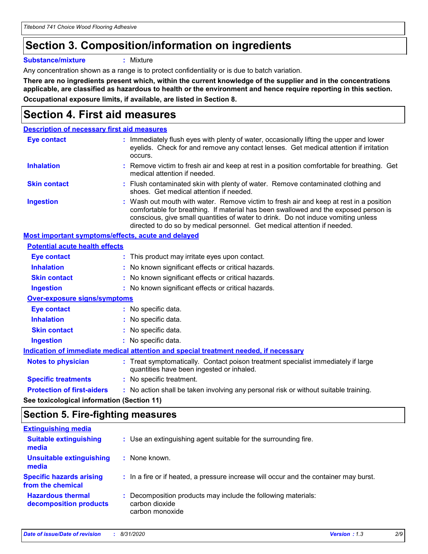## **Section 3. Composition/information on ingredients**

**Substance/mixture :** Mixture

Any concentration shown as a range is to protect confidentiality or is due to batch variation.

**There are no ingredients present which, within the current knowledge of the supplier and in the concentrations applicable, are classified as hazardous to health or the environment and hence require reporting in this section. Occupational exposure limits, if available, are listed in Section 8.**

## **Section 4. First aid measures**

| <b>Description of necessary first aid measures</b>        |                                                                                                                                                                                                                                                                                                                                                |
|-----------------------------------------------------------|------------------------------------------------------------------------------------------------------------------------------------------------------------------------------------------------------------------------------------------------------------------------------------------------------------------------------------------------|
| <b>Eye contact</b>                                        | : Immediately flush eyes with plenty of water, occasionally lifting the upper and lower<br>eyelids. Check for and remove any contact lenses. Get medical attention if irritation<br>occurs.                                                                                                                                                    |
| <b>Inhalation</b>                                         | : Remove victim to fresh air and keep at rest in a position comfortable for breathing. Get<br>medical attention if needed.                                                                                                                                                                                                                     |
| <b>Skin contact</b>                                       | : Flush contaminated skin with plenty of water. Remove contaminated clothing and<br>shoes. Get medical attention if needed.                                                                                                                                                                                                                    |
| <b>Ingestion</b>                                          | : Wash out mouth with water. Remove victim to fresh air and keep at rest in a position<br>comfortable for breathing. If material has been swallowed and the exposed person is<br>conscious, give small quantities of water to drink. Do not induce vomiting unless<br>directed to do so by medical personnel. Get medical attention if needed. |
| <b>Most important symptoms/effects, acute and delayed</b> |                                                                                                                                                                                                                                                                                                                                                |
| <b>Potential acute health effects</b>                     |                                                                                                                                                                                                                                                                                                                                                |
| <b>Eye contact</b>                                        | : This product may irritate eyes upon contact.                                                                                                                                                                                                                                                                                                 |
| <b>Inhalation</b>                                         | : No known significant effects or critical hazards.                                                                                                                                                                                                                                                                                            |
| <b>Skin contact</b>                                       | : No known significant effects or critical hazards.                                                                                                                                                                                                                                                                                            |
| <b>Ingestion</b>                                          | : No known significant effects or critical hazards.                                                                                                                                                                                                                                                                                            |
| <b>Over-exposure signs/symptoms</b>                       |                                                                                                                                                                                                                                                                                                                                                |
| <b>Eye contact</b>                                        | : No specific data.                                                                                                                                                                                                                                                                                                                            |
| <b>Inhalation</b>                                         | : No specific data.                                                                                                                                                                                                                                                                                                                            |
| <b>Skin contact</b>                                       | : No specific data.                                                                                                                                                                                                                                                                                                                            |
| <b>Ingestion</b>                                          | : No specific data.                                                                                                                                                                                                                                                                                                                            |
|                                                           | Indication of immediate medical attention and special treatment needed, if necessary                                                                                                                                                                                                                                                           |
| <b>Notes to physician</b>                                 | : Treat symptomatically. Contact poison treatment specialist immediately if large<br>quantities have been ingested or inhaled.                                                                                                                                                                                                                 |
| <b>Specific treatments</b>                                | : No specific treatment.                                                                                                                                                                                                                                                                                                                       |
| <b>Protection of first-aiders</b>                         | : No action shall be taken involving any personal risk or without suitable training.                                                                                                                                                                                                                                                           |
|                                                           |                                                                                                                                                                                                                                                                                                                                                |

**See toxicological information (Section 11)**

### **Section 5. Fire-fighting measures**

| : Use an extinguishing agent suitable for the surrounding fire.                                    |
|----------------------------------------------------------------------------------------------------|
| : None known.                                                                                      |
| : In a fire or if heated, a pressure increase will occur and the container may burst.              |
| : Decomposition products may include the following materials:<br>carbon dioxide<br>carbon monoxide |
|                                                                                                    |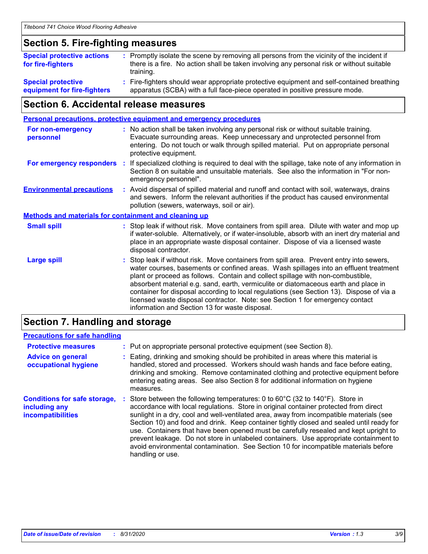### **Section 5. Fire-fighting measures**

| <b>Special protective actions</b><br>for fire-fighters   | : Promptly isolate the scene by removing all persons from the vicinity of the incident if<br>there is a fire. No action shall be taken involving any personal risk or without suitable<br>training. |
|----------------------------------------------------------|-----------------------------------------------------------------------------------------------------------------------------------------------------------------------------------------------------|
| <b>Special protective</b><br>equipment for fire-fighters | : Fire-fighters should wear appropriate protective equipment and self-contained breathing<br>apparatus (SCBA) with a full face-piece operated in positive pressure mode.                            |

### **Section 6. Accidental release measures**

| <b>Personal precautions, protective equipment and emergency procedures</b> |    |                                                                                                                                                                                                                                                                                                                                                                                                                                                                                                                                                                                            |  |
|----------------------------------------------------------------------------|----|--------------------------------------------------------------------------------------------------------------------------------------------------------------------------------------------------------------------------------------------------------------------------------------------------------------------------------------------------------------------------------------------------------------------------------------------------------------------------------------------------------------------------------------------------------------------------------------------|--|
| <b>For non-emergency</b><br>personnel                                      |    | : No action shall be taken involving any personal risk or without suitable training.<br>Evacuate surrounding areas. Keep unnecessary and unprotected personnel from<br>entering. Do not touch or walk through spilled material. Put on appropriate personal<br>protective equipment.                                                                                                                                                                                                                                                                                                       |  |
| For emergency responders                                                   | ÷. | If specialized clothing is required to deal with the spillage, take note of any information in<br>Section 8 on suitable and unsuitable materials. See also the information in "For non-<br>emergency personnel".                                                                                                                                                                                                                                                                                                                                                                           |  |
| <b>Environmental precautions</b>                                           |    | : Avoid dispersal of spilled material and runoff and contact with soil, waterways, drains<br>and sewers. Inform the relevant authorities if the product has caused environmental<br>pollution (sewers, waterways, soil or air).                                                                                                                                                                                                                                                                                                                                                            |  |
| <b>Methods and materials for containment and cleaning up</b>               |    |                                                                                                                                                                                                                                                                                                                                                                                                                                                                                                                                                                                            |  |
| <b>Small spill</b>                                                         |    | : Stop leak if without risk. Move containers from spill area. Dilute with water and mop up<br>if water-soluble. Alternatively, or if water-insoluble, absorb with an inert dry material and<br>place in an appropriate waste disposal container. Dispose of via a licensed waste<br>disposal contractor.                                                                                                                                                                                                                                                                                   |  |
| <b>Large spill</b>                                                         |    | : Stop leak if without risk. Move containers from spill area. Prevent entry into sewers,<br>water courses, basements or confined areas. Wash spillages into an effluent treatment<br>plant or proceed as follows. Contain and collect spillage with non-combustible,<br>absorbent material e.g. sand, earth, vermiculite or diatomaceous earth and place in<br>container for disposal according to local regulations (see Section 13). Dispose of via a<br>licensed waste disposal contractor. Note: see Section 1 for emergency contact<br>information and Section 13 for waste disposal. |  |
|                                                                            |    |                                                                                                                                                                                                                                                                                                                                                                                                                                                                                                                                                                                            |  |

### **Section 7. Handling and storage**

### **Precautions for safe handling**

| <b>Protective measures</b>                                                | : Put on appropriate personal protective equipment (see Section 8).                                                                                                                                                                                                                                                                                                                                                                                                                                                                                                                                                                                                        |
|---------------------------------------------------------------------------|----------------------------------------------------------------------------------------------------------------------------------------------------------------------------------------------------------------------------------------------------------------------------------------------------------------------------------------------------------------------------------------------------------------------------------------------------------------------------------------------------------------------------------------------------------------------------------------------------------------------------------------------------------------------------|
| <b>Advice on general</b><br>occupational hygiene                          | Eating, drinking and smoking should be prohibited in areas where this material is<br>handled, stored and processed. Workers should wash hands and face before eating,<br>drinking and smoking. Remove contaminated clothing and protective equipment before<br>entering eating areas. See also Section 8 for additional information on hygiene<br>measures.                                                                                                                                                                                                                                                                                                                |
| <b>Conditions for safe storage,</b><br>including any<br>incompatibilities | Store between the following temperatures: 0 to $60^{\circ}$ C (32 to $140^{\circ}$ F). Store in<br>accordance with local regulations. Store in original container protected from direct<br>sunlight in a dry, cool and well-ventilated area, away from incompatible materials (see<br>Section 10) and food and drink. Keep container tightly closed and sealed until ready for<br>use. Containers that have been opened must be carefully resealed and kept upright to<br>prevent leakage. Do not store in unlabeled containers. Use appropriate containment to<br>avoid environmental contamination. See Section 10 for incompatible materials before<br>handling or use. |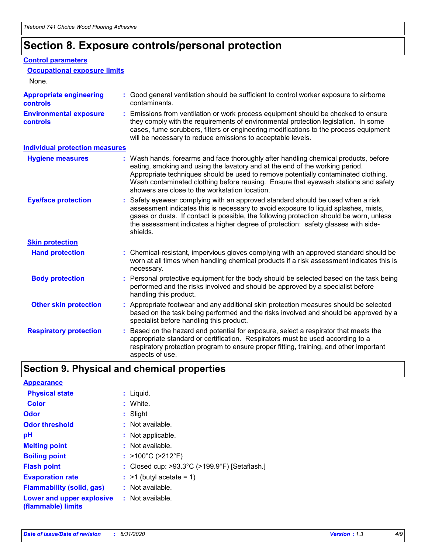## **Section 8. Exposure controls/personal protection**

### **Control parameters**

| <b>Occupational exposure limits</b><br>None.      |                                                                                                                                                                                                                                                                                                                                                                                                   |
|---------------------------------------------------|---------------------------------------------------------------------------------------------------------------------------------------------------------------------------------------------------------------------------------------------------------------------------------------------------------------------------------------------------------------------------------------------------|
| <b>Appropriate engineering</b><br><b>controls</b> | : Good general ventilation should be sufficient to control worker exposure to airborne<br>contaminants.                                                                                                                                                                                                                                                                                           |
| <b>Environmental exposure</b><br><b>controls</b>  | : Emissions from ventilation or work process equipment should be checked to ensure<br>they comply with the requirements of environmental protection legislation. In some<br>cases, fume scrubbers, filters or engineering modifications to the process equipment<br>will be necessary to reduce emissions to acceptable levels.                                                                   |
| <b>Individual protection measures</b>             |                                                                                                                                                                                                                                                                                                                                                                                                   |
| <b>Hygiene measures</b>                           | : Wash hands, forearms and face thoroughly after handling chemical products, before<br>eating, smoking and using the lavatory and at the end of the working period.<br>Appropriate techniques should be used to remove potentially contaminated clothing.<br>Wash contaminated clothing before reusing. Ensure that eyewash stations and safety<br>showers are close to the workstation location. |
| <b>Eye/face protection</b>                        | : Safety eyewear complying with an approved standard should be used when a risk<br>assessment indicates this is necessary to avoid exposure to liquid splashes, mists,<br>gases or dusts. If contact is possible, the following protection should be worn, unless<br>the assessment indicates a higher degree of protection: safety glasses with side-<br>shields.                                |
| <b>Skin protection</b>                            |                                                                                                                                                                                                                                                                                                                                                                                                   |
| <b>Hand protection</b>                            | : Chemical-resistant, impervious gloves complying with an approved standard should be<br>worn at all times when handling chemical products if a risk assessment indicates this is<br>necessary.                                                                                                                                                                                                   |
| <b>Body protection</b>                            | : Personal protective equipment for the body should be selected based on the task being<br>performed and the risks involved and should be approved by a specialist before<br>handling this product.                                                                                                                                                                                               |
| <b>Other skin protection</b>                      | : Appropriate footwear and any additional skin protection measures should be selected<br>based on the task being performed and the risks involved and should be approved by a<br>specialist before handling this product.                                                                                                                                                                         |
| <b>Respiratory protection</b>                     | Based on the hazard and potential for exposure, select a respirator that meets the<br>appropriate standard or certification. Respirators must be used according to a<br>respiratory protection program to ensure proper fitting, training, and other important<br>aspects of use.                                                                                                                 |

## **Section 9. Physical and chemical properties**

| <b>Appearance</b>                               |                                                                    |
|-------------------------------------------------|--------------------------------------------------------------------|
| <b>Physical state</b>                           | : Liquid.                                                          |
| <b>Color</b>                                    | : White.                                                           |
| <b>Odor</b>                                     | $:$ Slight                                                         |
| <b>Odor threshold</b>                           | : Not available.                                                   |
| рH                                              | : Not applicable.                                                  |
| <b>Melting point</b>                            | : Not available.                                                   |
| <b>Boiling point</b>                            | : $>100^{\circ}$ C ( $>212^{\circ}$ F)                             |
| <b>Flash point</b>                              | : Closed cup: $>93.3^{\circ}$ C ( $>199.9^{\circ}$ F) [Setaflash.] |
| <b>Evaporation rate</b>                         | $:$ >1 (butyl acetate = 1)                                         |
| <b>Flammability (solid, gas)</b>                | : Not available.                                                   |
| Lower and upper explosive<br>(flammable) limits | : Not available.                                                   |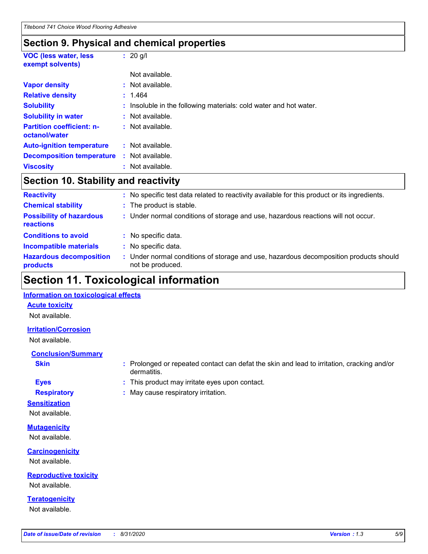## **Section 9. Physical and chemical properties**

| <b>VOC (less water, less</b><br>exempt solvents)  | : $20$ g/l                                                        |
|---------------------------------------------------|-------------------------------------------------------------------|
|                                                   | Not available.                                                    |
| <b>Vapor density</b>                              | $:$ Not available.                                                |
| <b>Relative density</b>                           | : 1.464                                                           |
| <b>Solubility</b>                                 | : Insoluble in the following materials: cold water and hot water. |
| <b>Solubility in water</b>                        | $:$ Not available.                                                |
| <b>Partition coefficient: n-</b><br>octanol/water | : Not available.                                                  |
| <b>Auto-ignition temperature</b>                  | $:$ Not available.                                                |
| <b>Decomposition temperature</b>                  | $:$ Not available.                                                |
| <b>Viscosity</b>                                  | : Not available.                                                  |

### **Section 10. Stability and reactivity**

| <b>Reactivity</b>                            | No specific test data related to reactivity available for this product or its ingredients.              |
|----------------------------------------------|---------------------------------------------------------------------------------------------------------|
| <b>Chemical stability</b>                    | : The product is stable.                                                                                |
| <b>Possibility of hazardous</b><br>reactions | : Under normal conditions of storage and use, hazardous reactions will not occur.                       |
| <b>Conditions to avoid</b>                   | : No specific data.                                                                                     |
| <b>Incompatible materials</b>                | No specific data.                                                                                       |
| <b>Hazardous decomposition</b><br>products   | Under normal conditions of storage and use, hazardous decomposition products should<br>not be produced. |

## **Section 11. Toxicological information**

### **Information on toxicological effects**

### **Acute toxicity**

Not available.

### **Irritation/Corrosion**

Not available.

### **Conclusion/Summary**

**Skin Example 3 :** Prolonged or repeated contact can defat the skin and lead to irritation, cracking and/or dermatitis.

### **Eyes :** This product may irritate eyes upon contact.

**Respiratory :** May cause respiratory irritation.

### **Sensitization**

Not available.

## **Mutagenicity**

Not available.

### **Carcinogenicity** Not available.

**Reproductive toxicity** Not available.

## **Teratogenicity**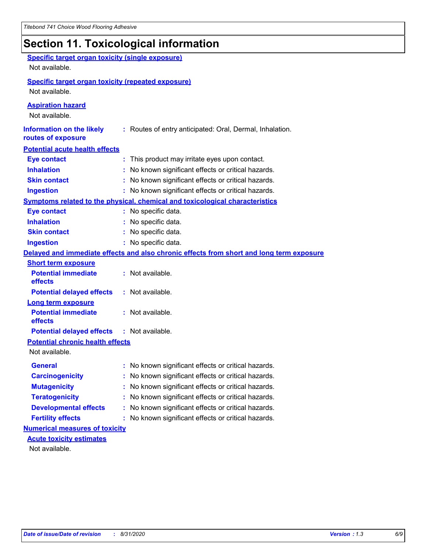## **Section 11. Toxicological information**

| <b>Specific target organ toxicity (single exposure)</b>   |                                                                                          |
|-----------------------------------------------------------|------------------------------------------------------------------------------------------|
| Not available.                                            |                                                                                          |
| <b>Specific target organ toxicity (repeated exposure)</b> |                                                                                          |
| Not available.                                            |                                                                                          |
| <b>Aspiration hazard</b>                                  |                                                                                          |
| Not available.                                            |                                                                                          |
| <b>Information on the likely</b><br>routes of exposure    | : Routes of entry anticipated: Oral, Dermal, Inhalation.                                 |
| <b>Potential acute health effects</b>                     |                                                                                          |
| <b>Eye contact</b>                                        | : This product may irritate eyes upon contact.                                           |
| <b>Inhalation</b>                                         | : No known significant effects or critical hazards.                                      |
| <b>Skin contact</b>                                       | : No known significant effects or critical hazards.                                      |
| <b>Ingestion</b>                                          | : No known significant effects or critical hazards.                                      |
|                                                           | Symptoms related to the physical, chemical and toxicological characteristics             |
| <b>Eye contact</b>                                        | : No specific data.                                                                      |
| <b>Inhalation</b>                                         | : No specific data.                                                                      |
| <b>Skin contact</b>                                       | : No specific data.                                                                      |
| <b>Ingestion</b>                                          | : No specific data.                                                                      |
|                                                           | Delayed and immediate effects and also chronic effects from short and long term exposure |
| <b>Short term exposure</b>                                |                                                                                          |
| <b>Potential immediate</b><br>effects                     | : Not available.                                                                         |
| <b>Potential delayed effects</b>                          | : Not available.                                                                         |
| <b>Long term exposure</b>                                 |                                                                                          |
| <b>Potential immediate</b><br>effects                     | : Not available.                                                                         |
| <b>Potential delayed effects</b>                          | : Not available.                                                                         |
| <b>Potential chronic health effects</b>                   |                                                                                          |
| Not available.                                            |                                                                                          |
| <b>General</b>                                            | No known significant effects or critical hazards.                                        |
| <b>Carcinogenicity</b>                                    | : No known significant effects or critical hazards.                                      |
| <b>Mutagenicity</b>                                       | No known significant effects or critical hazards.                                        |
| <b>Teratogenicity</b>                                     | No known significant effects or critical hazards.                                        |
| <b>Developmental effects</b>                              | No known significant effects or critical hazards.                                        |
| <b>Fertility effects</b>                                  | No known significant effects or critical hazards.                                        |
| <b>Numerical measures of toxicity</b>                     |                                                                                          |
| <b>Acute toxicity estimates</b>                           |                                                                                          |
| Not available.                                            |                                                                                          |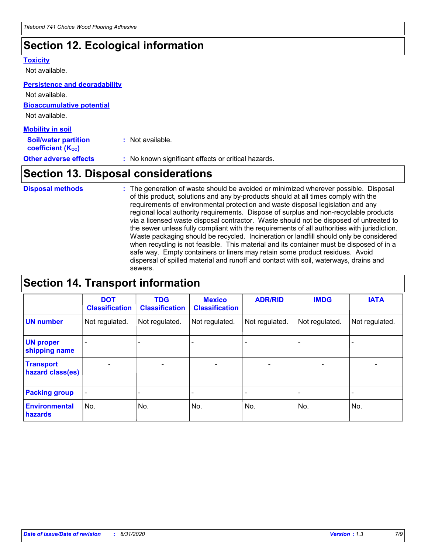## **Section 12. Ecological information**

#### **Toxicity**

Not available.

#### **Persistence and degradability**

**Bioaccumulative potential** Not available. **Mobility in soil** Not available.

| <b>MODILITY IN SOIL</b>                                 |                                                     |
|---------------------------------------------------------|-----------------------------------------------------|
| <b>Soil/water partition</b><br><b>coefficient (Koc)</b> | : Not available.                                    |
| <b>Other adverse effects</b>                            | : No known significant effects or critical hazards. |

## **Section 13. Disposal considerations**

The generation of waste should be avoided or minimized wherever possible. Disposal of this product, solutions and any by-products should at all times comply with the requirements of environmental protection and waste disposal legislation and any regional local authority requirements. Dispose of surplus and non-recyclable products via a licensed waste disposal contractor. Waste should not be disposed of untreated to the sewer unless fully compliant with the requirements of all authorities with jurisdiction. Waste packaging should be recycled. Incineration or landfill should only be considered when recycling is not feasible. This material and its container must be disposed of in a safe way. Empty containers or liners may retain some product residues. Avoid dispersal of spilled material and runoff and contact with soil, waterways, drains and sewers. **Disposal methods :**

## **Section 14. Transport information**

|                                      | <b>DOT</b><br><b>Classification</b> | <b>TDG</b><br><b>Classification</b> | <b>Mexico</b><br><b>Classification</b> | <b>ADR/RID</b>               | <b>IMDG</b>              | <b>IATA</b>              |
|--------------------------------------|-------------------------------------|-------------------------------------|----------------------------------------|------------------------------|--------------------------|--------------------------|
| <b>UN number</b>                     | Not regulated.                      | Not regulated.                      | Not regulated.                         | Not regulated.               | Not regulated.           | Not regulated.           |
| <b>UN proper</b><br>shipping name    |                                     |                                     |                                        |                              |                          |                          |
| <b>Transport</b><br>hazard class(es) | $\overline{\phantom{0}}$            | $\overline{\phantom{0}}$            | $\qquad \qquad$                        | $\qquad \qquad \blacksquare$ | $\overline{\phantom{0}}$ | $\overline{\phantom{0}}$ |
| <b>Packing group</b>                 | $\blacksquare$                      | -                                   |                                        | -                            |                          | -                        |
| <b>Environmental</b><br>hazards      | No.                                 | No.                                 | No.                                    | No.                          | No.                      | No.                      |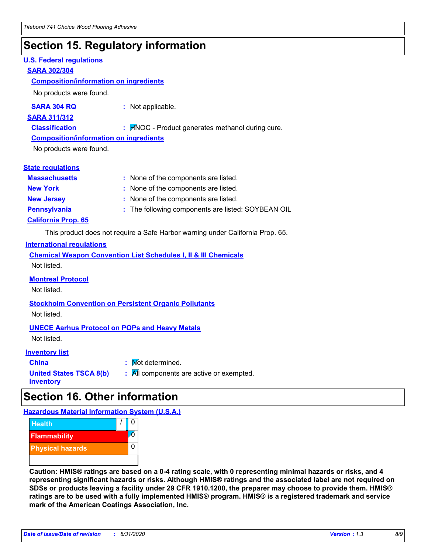## **Section 15. Regulatory information**

### **U.S. Federal regulations**

### **SARA 302/304**

### **Composition/information on ingredients**

No products were found.

**SARA 304 RQ :** Not applicable.

#### **SARA 311/312**

**Classification :** HNOC - Product generates methanol during cure.

### **Composition/information on ingredients**

No products were found.

### **State regulations**

| <b>Massachusetts</b>       | : None of the components are listed.               |
|----------------------------|----------------------------------------------------|
| <b>New York</b>            | : None of the components are listed.               |
| <b>New Jersey</b>          | : None of the components are listed.               |
| <b>Pennsylvania</b>        | : The following components are listed: SOYBEAN OIL |
| <b>California Prop. 65</b> |                                                    |

This product does not require a Safe Harbor warning under California Prop. 65.

### **International regulations**

| <b>Chemical Weapon Convention List Schedules I, II &amp; III Chemicals</b> |  |
|----------------------------------------------------------------------------|--|
| Not listed.                                                                |  |

### **Montreal Protocol**

Not listed.

**Stockholm Convention on Persistent Organic Pollutants** Not listed.

### **UNECE Aarhus Protocol on POPs and Heavy Metals**

Not listed.

### **Inventory list**

**China :** Not determined. **United States TSCA 8(b) inventory :** All components are active or exempted.

## **Section 16. Other information**

**Hazardous Material Information System (U.S.A.)**



**Caution: HMIS® ratings are based on a 0-4 rating scale, with 0 representing minimal hazards or risks, and 4 representing significant hazards or risks. Although HMIS® ratings and the associated label are not required on SDSs or products leaving a facility under 29 CFR 1910.1200, the preparer may choose to provide them. HMIS® ratings are to be used with a fully implemented HMIS® program. HMIS® is a registered trademark and service mark of the American Coatings Association, Inc.**